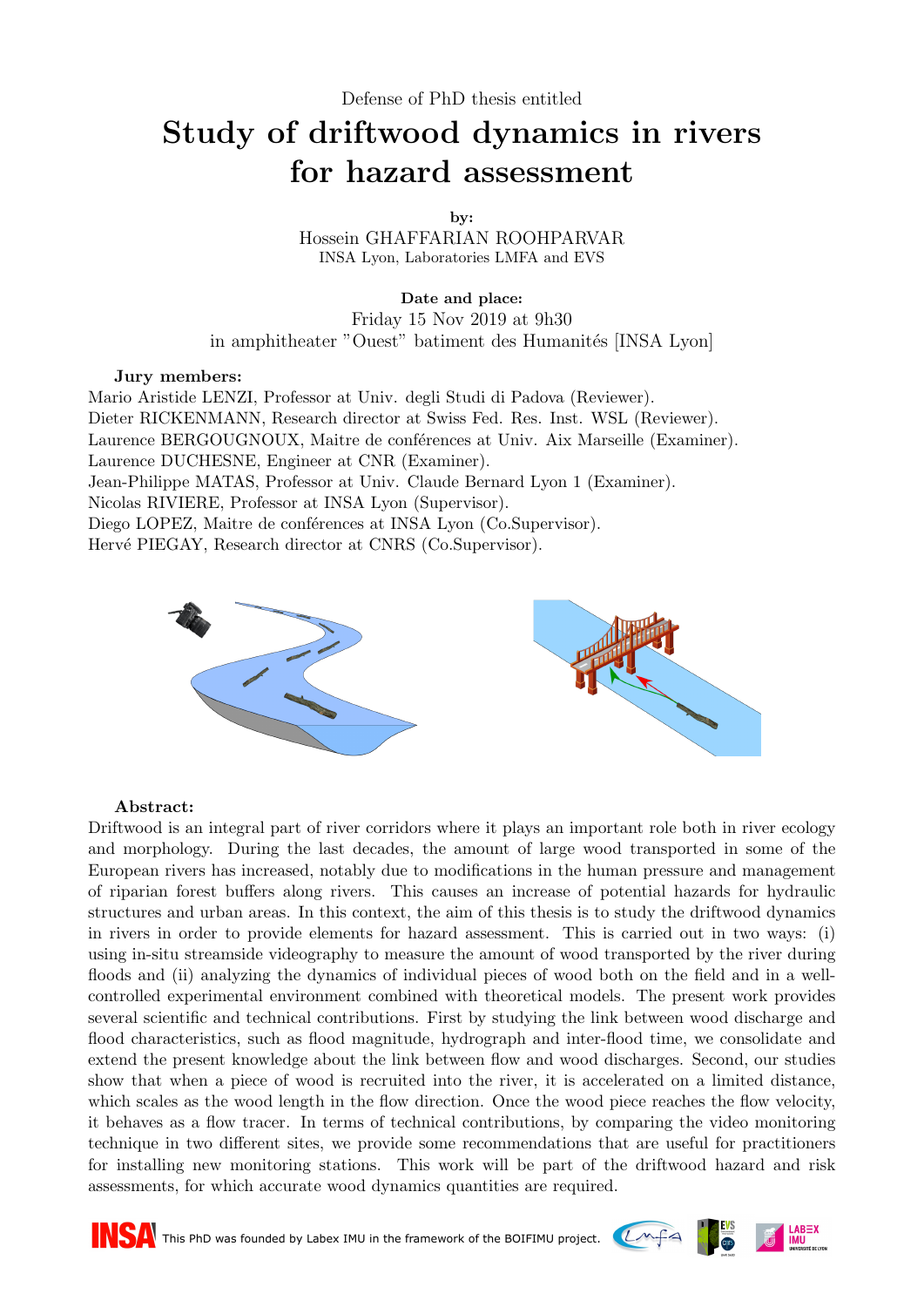## Study of driftwood dynamics in rivers for hazard assessment

by:

Hossein GHAFFARIAN ROOHPARVAR INSA Lyon, Laboratories LMFA and EVS

Date and place: Friday 15 Nov 2019 at 9h30 in amphitheater "Ouest" batiment des Humanités [INSA Lyon]

## Jury members:

Mario Aristide LENZI, Professor at Univ. degli Studi di Padova (Reviewer). Dieter RICKENMANN, Research director at Swiss Fed. Res. Inst. WSL (Reviewer). Laurence BERGOUGNOUX, Maitre de conférences at Univ. Aix Marseille (Examiner). Laurence DUCHESNE, Engineer at CNR (Examiner). Jean-Philippe MATAS, Professor at Univ. Claude Bernard Lyon 1 (Examiner). Nicolas RIVIERE, Professor at INSA Lyon (Supervisor). Diego LOPEZ, Maitre de conférences at INSA Lyon (Co.Supervisor). Hervé PIEGAY, Research director at CNRS (Co.Supervisor).



## Abstract:

Driftwood is an integral part of river corridors where it plays an important role both in river ecology and morphology. During the last decades, the amount of large wood transported in some of the European rivers has increased, notably due to modifications in the human pressure and management of riparian forest buffers along rivers. This causes an increase of potential hazards for hydraulic structures and urban areas. In this context, the aim of this thesis is to study the driftwood dynamics in rivers in order to provide elements for hazard assessment. This is carried out in two ways: (i) using in-situ streamside videography to measure the amount of wood transported by the river during floods and (ii) analyzing the dynamics of individual pieces of wood both on the field and in a wellcontrolled experimental environment combined with theoretical models. The present work provides several scientific and technical contributions. First by studying the link between wood discharge and flood characteristics, such as flood magnitude, hydrograph and inter-flood time, we consolidate and extend the present knowledge about the link between flow and wood discharges. Second, our studies show that when a piece of wood is recruited into the river, it is accelerated on a limited distance, which scales as the wood length in the flow direction. Once the wood piece reaches the flow velocity, it behaves as a flow tracer. In terms of technical contributions, by comparing the video monitoring technique in two different sites, we provide some recommendations that are useful for practitioners for installing new monitoring stations. This work will be part of the driftwood hazard and risk assessments, for which accurate wood dynamics quantities are required.